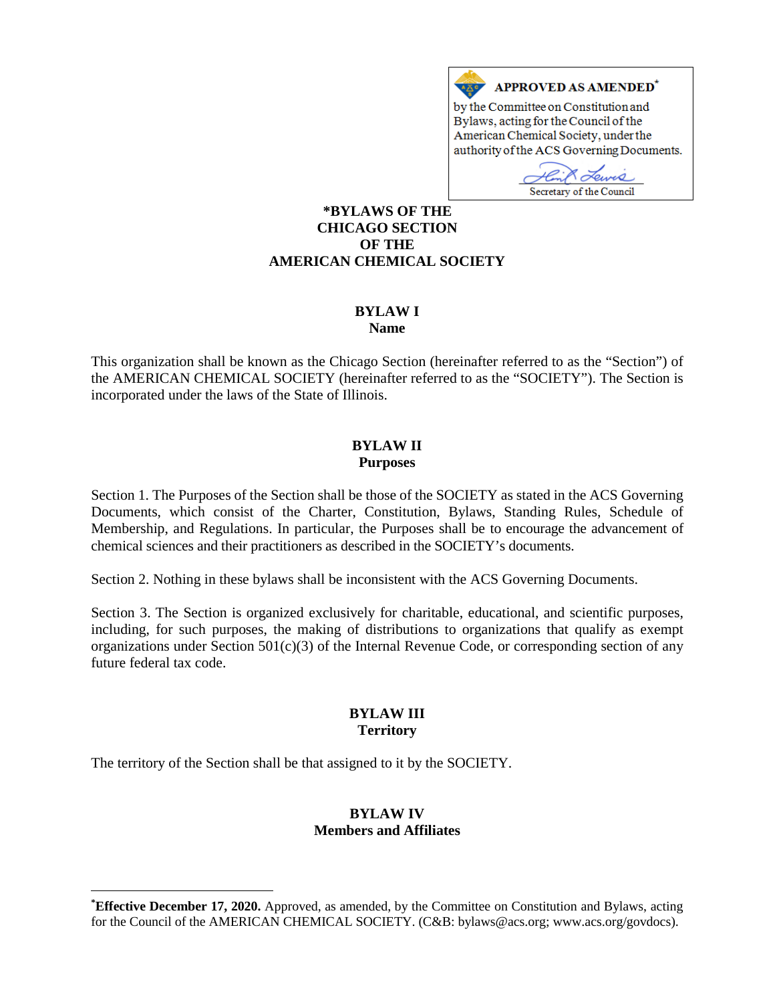# APPROVED AS AMENDED\*

by the Committee on Constitution and Bylaws, acting for the Council of the American Chemical Society, under the authority of the ACS Governing Documents.

Teurs Secretary of the Council

#### **[\\*](#page-0-0)BYLAWS OF THE CHICAGO SECTION OF THE AMERICAN CHEMICAL SOCIETY**

#### **BYLAW I Name**

This organization shall be known as the Chicago Section (hereinafter referred to as the "Section") of the AMERICAN CHEMICAL SOCIETY (hereinafter referred to as the "SOCIETY"). The Section is incorporated under the laws of the State of Illinois.

#### **BYLAW II Purposes**

Section 1. The Purposes of the Section shall be those of the SOCIETY as stated in the ACS Governing Documents, which consist of the Charter, Constitution, Bylaws, Standing Rules, Schedule of Membership, and Regulations. In particular, the Purposes shall be to encourage the advancement of chemical sciences and their practitioners as described in the SOCIETY's documents.

Section 2. Nothing in these bylaws shall be inconsistent with the ACS Governing Documents.

Section 3. The Section is organized exclusively for charitable, educational, and scientific purposes, including, for such purposes, the making of distributions to organizations that qualify as exempt organizations under Section 501(c)(3) of the Internal Revenue Code, or corresponding section of any future federal tax code.

## **BYLAW III Territory**

The territory of the Section shall be that assigned to it by the SOCIETY.

 $\overline{a}$ 

## **BYLAW IV Members and Affiliates**

<span id="page-0-0"></span>**<sup>\*</sup> Effective December 17, 2020.** Approved, as amended, by the Committee on Constitution and Bylaws, acting for the Council of the AMERICAN CHEMICAL SOCIETY. (C&B: bylaws@acs.org; www.acs.org/govdocs).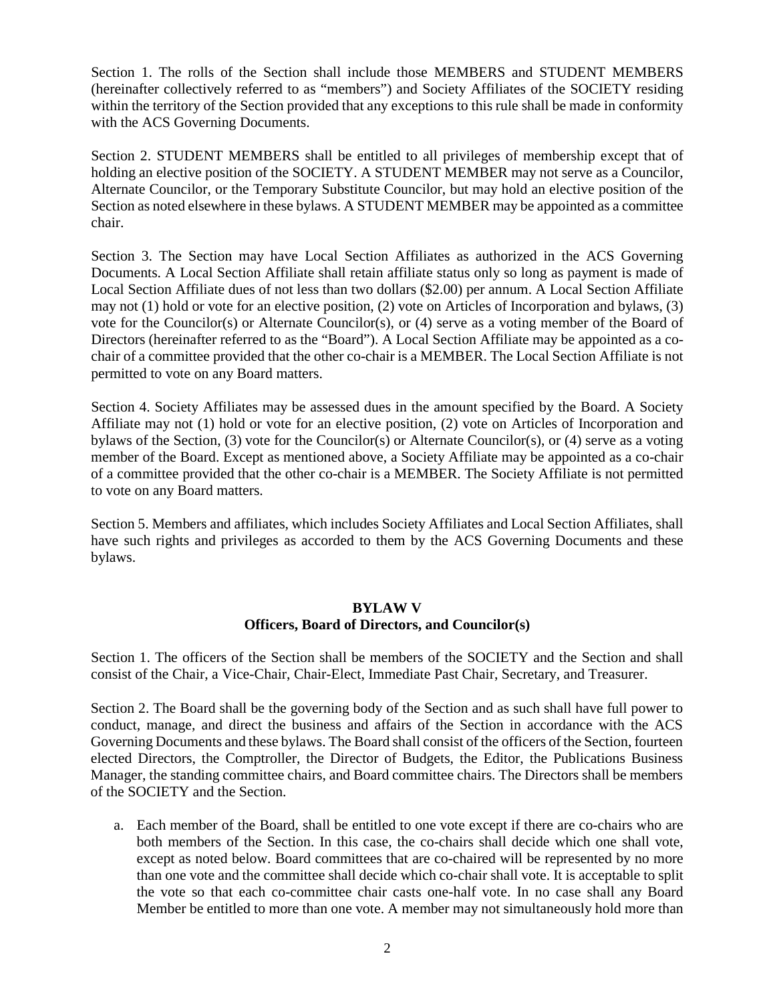Section 1. The rolls of the Section shall include those MEMBERS and STUDENT MEMBERS (hereinafter collectively referred to as "members") and Society Affiliates of the SOCIETY residing within the territory of the Section provided that any exceptions to this rule shall be made in conformity with the ACS Governing Documents.

Section 2. STUDENT MEMBERS shall be entitled to all privileges of membership except that of holding an elective position of the SOCIETY. A STUDENT MEMBER may not serve as a Councilor, Alternate Councilor, or the Temporary Substitute Councilor, but may hold an elective position of the Section as noted elsewhere in these bylaws. A STUDENT MEMBER may be appointed as a committee chair.

Section 3. The Section may have Local Section Affiliates as authorized in the ACS Governing Documents. A Local Section Affiliate shall retain affiliate status only so long as payment is made of Local Section Affiliate dues of not less than two dollars (\$2.00) per annum. A Local Section Affiliate may not (1) hold or vote for an elective position, (2) vote on Articles of Incorporation and bylaws, (3) vote for the Councilor(s) or Alternate Councilor(s), or (4) serve as a voting member of the Board of Directors (hereinafter referred to as the "Board"). A Local Section Affiliate may be appointed as a cochair of a committee provided that the other co-chair is a MEMBER. The Local Section Affiliate is not permitted to vote on any Board matters.

Section 4. Society Affiliates may be assessed dues in the amount specified by the Board. A Society Affiliate may not (1) hold or vote for an elective position, (2) vote on Articles of Incorporation and bylaws of the Section, (3) vote for the Councilor(s) or Alternate Councilor(s), or (4) serve as a voting member of the Board. Except as mentioned above, a Society Affiliate may be appointed as a co-chair of a committee provided that the other co-chair is a MEMBER. The Society Affiliate is not permitted to vote on any Board matters.

Section 5. Members and affiliates, which includes Society Affiliates and Local Section Affiliates, shall have such rights and privileges as accorded to them by the ACS Governing Documents and these bylaws.

## **BYLAW V Officers, Board of Directors, and Councilor(s)**

Section 1. The officers of the Section shall be members of the SOCIETY and the Section and shall consist of the Chair, a Vice-Chair, Chair-Elect, Immediate Past Chair, Secretary, and Treasurer.

Section 2. The Board shall be the governing body of the Section and as such shall have full power to conduct, manage, and direct the business and affairs of the Section in accordance with the ACS Governing Documents and these bylaws. The Board shall consist of the officers of the Section, fourteen elected Directors, the Comptroller, the Director of Budgets, the Editor, the Publications Business Manager, the standing committee chairs, and Board committee chairs. The Directors shall be members of the SOCIETY and the Section.

a. Each member of the Board, shall be entitled to one vote except if there are co-chairs who are both members of the Section. In this case, the co-chairs shall decide which one shall vote, except as noted below. Board committees that are co-chaired will be represented by no more than one vote and the committee shall decide which co-chair shall vote. It is acceptable to split the vote so that each co-committee chair casts one-half vote. In no case shall any Board Member be entitled to more than one vote. A member may not simultaneously hold more than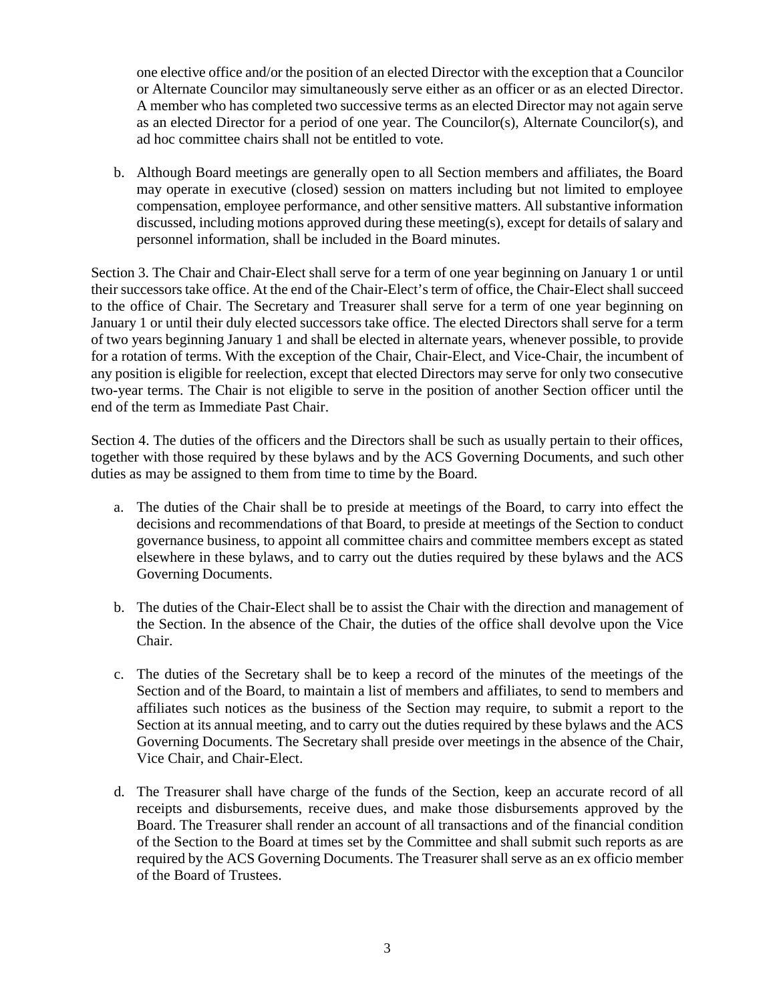one elective office and/or the position of an elected Director with the exception that a Councilor or Alternate Councilor may simultaneously serve either as an officer or as an elected Director. A member who has completed two successive terms as an elected Director may not again serve as an elected Director for a period of one year. The Councilor(s), Alternate Councilor(s), and ad hoc committee chairs shall not be entitled to vote.

b. Although Board meetings are generally open to all Section members and affiliates, the Board may operate in executive (closed) session on matters including but not limited to employee compensation, employee performance, and other sensitive matters. All substantive information discussed, including motions approved during these meeting(s), except for details of salary and personnel information, shall be included in the Board minutes.

Section 3. The Chair and Chair-Elect shall serve for a term of one year beginning on January 1 or until their successors take office. At the end of the Chair-Elect's term of office, the Chair-Elect shall succeed to the office of Chair. The Secretary and Treasurer shall serve for a term of one year beginning on January 1 or until their duly elected successors take office. The elected Directors shall serve for a term of two years beginning January 1 and shall be elected in alternate years, whenever possible, to provide for a rotation of terms. With the exception of the Chair, Chair-Elect, and Vice-Chair, the incumbent of any position is eligible for reelection, except that elected Directors may serve for only two consecutive two-year terms. The Chair is not eligible to serve in the position of another Section officer until the end of the term as Immediate Past Chair.

Section 4. The duties of the officers and the Directors shall be such as usually pertain to their offices, together with those required by these bylaws and by the ACS Governing Documents, and such other duties as may be assigned to them from time to time by the Board.

- a. The duties of the Chair shall be to preside at meetings of the Board, to carry into effect the decisions and recommendations of that Board, to preside at meetings of the Section to conduct governance business, to appoint all committee chairs and committee members except as stated elsewhere in these bylaws, and to carry out the duties required by these bylaws and the ACS Governing Documents.
- b. The duties of the Chair-Elect shall be to assist the Chair with the direction and management of the Section. In the absence of the Chair, the duties of the office shall devolve upon the Vice Chair.
- c. The duties of the Secretary shall be to keep a record of the minutes of the meetings of the Section and of the Board, to maintain a list of members and affiliates, to send to members and affiliates such notices as the business of the Section may require, to submit a report to the Section at its annual meeting, and to carry out the duties required by these bylaws and the ACS Governing Documents. The Secretary shall preside over meetings in the absence of the Chair, Vice Chair, and Chair-Elect.
- d. The Treasurer shall have charge of the funds of the Section, keep an accurate record of all receipts and disbursements, receive dues, and make those disbursements approved by the Board. The Treasurer shall render an account of all transactions and of the financial condition of the Section to the Board at times set by the Committee and shall submit such reports as are required by the ACS Governing Documents. The Treasurer shall serve as an ex officio member of the Board of Trustees.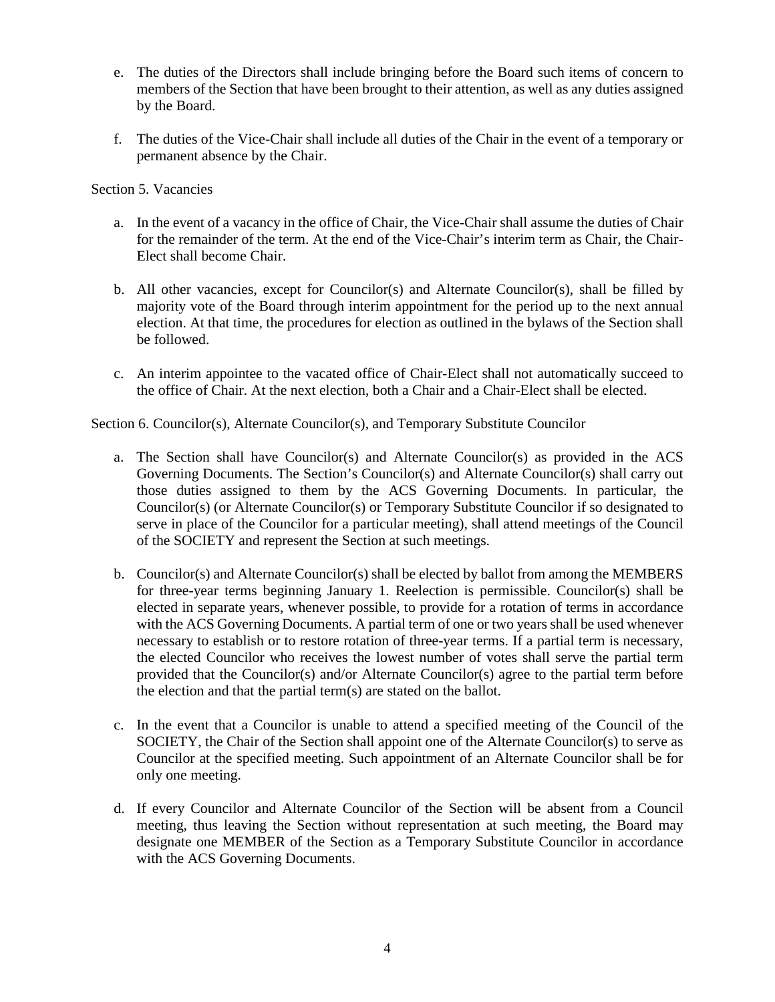- e. The duties of the Directors shall include bringing before the Board such items of concern to members of the Section that have been brought to their attention, as well as any duties assigned by the Board.
- f. The duties of the Vice-Chair shall include all duties of the Chair in the event of a temporary or permanent absence by the Chair.

Section 5. Vacancies

- a. In the event of a vacancy in the office of Chair, the Vice-Chair shall assume the duties of Chair for the remainder of the term. At the end of the Vice-Chair's interim term as Chair, the Chair-Elect shall become Chair.
- b. All other vacancies, except for Councilor(s) and Alternate Councilor(s), shall be filled by majority vote of the Board through interim appointment for the period up to the next annual election. At that time, the procedures for election as outlined in the bylaws of the Section shall be followed.
- c. An interim appointee to the vacated office of Chair-Elect shall not automatically succeed to the office of Chair. At the next election, both a Chair and a Chair-Elect shall be elected.

Section 6. Councilor(s), Alternate Councilor(s), and Temporary Substitute Councilor

- a. The Section shall have Councilor(s) and Alternate Councilor(s) as provided in the ACS Governing Documents. The Section's Councilor(s) and Alternate Councilor(s) shall carry out those duties assigned to them by the ACS Governing Documents. In particular, the Councilor(s) (or Alternate Councilor(s) or Temporary Substitute Councilor if so designated to serve in place of the Councilor for a particular meeting), shall attend meetings of the Council of the SOCIETY and represent the Section at such meetings.
- b. Councilor(s) and Alternate Councilor(s) shall be elected by ballot from among the MEMBERS for three-year terms beginning January 1. Reelection is permissible. Councilor(s) shall be elected in separate years, whenever possible, to provide for a rotation of terms in accordance with the ACS Governing Documents. A partial term of one or two years shall be used whenever necessary to establish or to restore rotation of three-year terms. If a partial term is necessary, the elected Councilor who receives the lowest number of votes shall serve the partial term provided that the Councilor(s) and/or Alternate Councilor(s) agree to the partial term before the election and that the partial term(s) are stated on the ballot.
- c. In the event that a Councilor is unable to attend a specified meeting of the Council of the SOCIETY, the Chair of the Section shall appoint one of the Alternate Councilor(s) to serve as Councilor at the specified meeting. Such appointment of an Alternate Councilor shall be for only one meeting.
- d. If every Councilor and Alternate Councilor of the Section will be absent from a Council meeting, thus leaving the Section without representation at such meeting, the Board may designate one MEMBER of the Section as a Temporary Substitute Councilor in accordance with the ACS Governing Documents.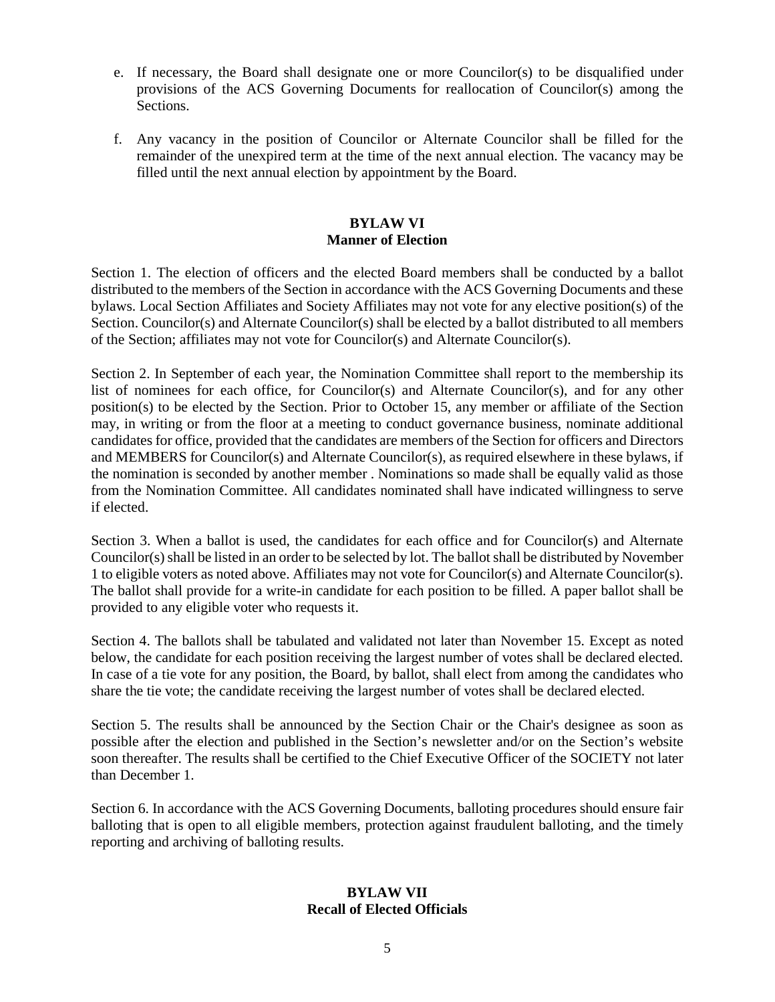- e. If necessary, the Board shall designate one or more Councilor(s) to be disqualified under provisions of the ACS Governing Documents for reallocation of Councilor(s) among the Sections.
- f. Any vacancy in the position of Councilor or Alternate Councilor shall be filled for the remainder of the unexpired term at the time of the next annual election. The vacancy may be filled until the next annual election by appointment by the Board.

## **BYLAW VI Manner of Election**

Section 1. The election of officers and the elected Board members shall be conducted by a ballot distributed to the members of the Section in accordance with the ACS Governing Documents and these bylaws. Local Section Affiliates and Society Affiliates may not vote for any elective position(s) of the Section. Councilor(s) and Alternate Councilor(s) shall be elected by a ballot distributed to all members of the Section; affiliates may not vote for Councilor(s) and Alternate Councilor(s).

Section 2. In September of each year, the Nomination Committee shall report to the membership its list of nominees for each office, for Councilor(s) and Alternate Councilor(s), and for any other position(s) to be elected by the Section. Prior to October 15, any member or affiliate of the Section may, in writing or from the floor at a meeting to conduct governance business, nominate additional candidates for office, provided that the candidates are members of the Section for officers and Directors and MEMBERS for Councilor(s) and Alternate Councilor(s), as required elsewhere in these bylaws, if the nomination is seconded by another member . Nominations so made shall be equally valid as those from the Nomination Committee. All candidates nominated shall have indicated willingness to serve if elected.

Section 3. When a ballot is used, the candidates for each office and for Councilor(s) and Alternate Councilor(s) shall be listed in an order to be selected by lot. The ballot shall be distributed by November 1 to eligible voters as noted above. Affiliates may not vote for Councilor(s) and Alternate Councilor(s). The ballot shall provide for a write-in candidate for each position to be filled. A paper ballot shall be provided to any eligible voter who requests it.

Section 4. The ballots shall be tabulated and validated not later than November 15. Except as noted below, the candidate for each position receiving the largest number of votes shall be declared elected. In case of a tie vote for any position, the Board, by ballot, shall elect from among the candidates who share the tie vote; the candidate receiving the largest number of votes shall be declared elected.

Section 5. The results shall be announced by the Section Chair or the Chair's designee as soon as possible after the election and published in the Section's newsletter and/or on the Section's website soon thereafter. The results shall be certified to the Chief Executive Officer of the SOCIETY not later than December 1.

Section 6. In accordance with the ACS Governing Documents, balloting procedures should ensure fair balloting that is open to all eligible members, protection against fraudulent balloting, and the timely reporting and archiving of balloting results.

#### **BYLAW VII Recall of Elected Officials**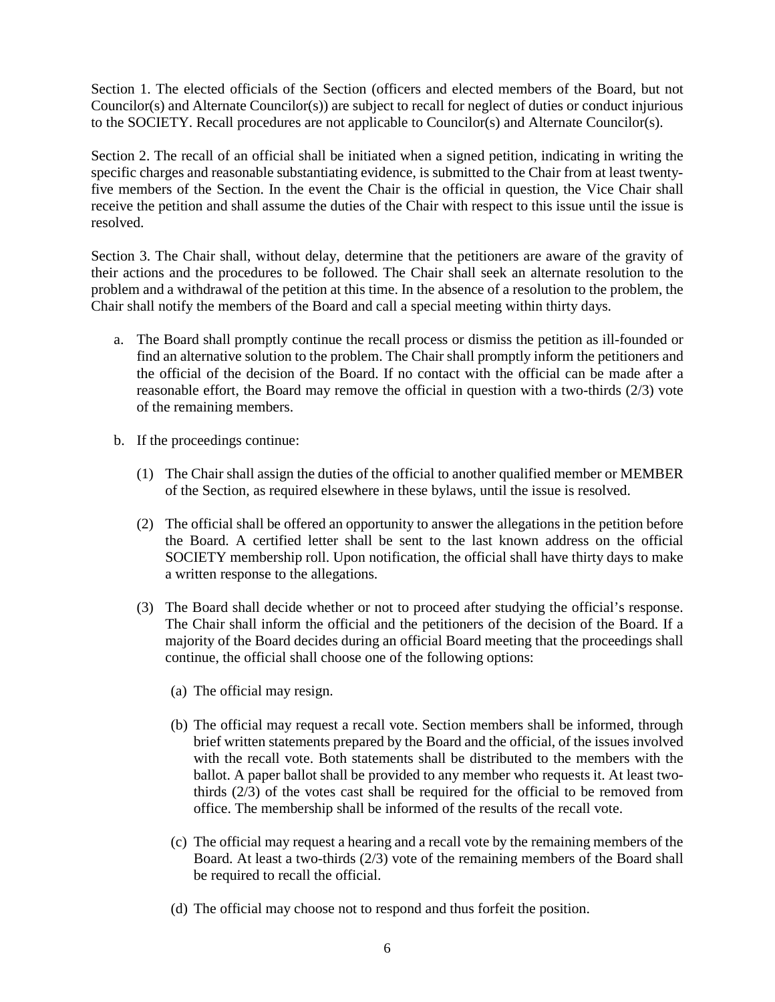Section 1. The elected officials of the Section (officers and elected members of the Board, but not Councilor(s) and Alternate Councilor(s)) are subject to recall for neglect of duties or conduct injurious to the SOCIETY. Recall procedures are not applicable to Councilor(s) and Alternate Councilor(s).

Section 2. The recall of an official shall be initiated when a signed petition, indicating in writing the specific charges and reasonable substantiating evidence, is submitted to the Chair from at least twentyfive members of the Section. In the event the Chair is the official in question, the Vice Chair shall receive the petition and shall assume the duties of the Chair with respect to this issue until the issue is resolved.

Section 3. The Chair shall, without delay, determine that the petitioners are aware of the gravity of their actions and the procedures to be followed. The Chair shall seek an alternate resolution to the problem and a withdrawal of the petition at this time. In the absence of a resolution to the problem, the Chair shall notify the members of the Board and call a special meeting within thirty days.

- a. The Board shall promptly continue the recall process or dismiss the petition as ill-founded or find an alternative solution to the problem. The Chair shall promptly inform the petitioners and the official of the decision of the Board. If no contact with the official can be made after a reasonable effort, the Board may remove the official in question with a two-thirds (2/3) vote of the remaining members.
- b. If the proceedings continue:
	- (1) The Chair shall assign the duties of the official to another qualified member or MEMBER of the Section, as required elsewhere in these bylaws, until the issue is resolved.
	- (2) The official shall be offered an opportunity to answer the allegations in the petition before the Board. A certified letter shall be sent to the last known address on the official SOCIETY membership roll. Upon notification, the official shall have thirty days to make a written response to the allegations.
	- (3) The Board shall decide whether or not to proceed after studying the official's response. The Chair shall inform the official and the petitioners of the decision of the Board. If a majority of the Board decides during an official Board meeting that the proceedings shall continue, the official shall choose one of the following options:
		- (a) The official may resign.
		- (b) The official may request a recall vote. Section members shall be informed, through brief written statements prepared by the Board and the official, of the issues involved with the recall vote. Both statements shall be distributed to the members with the ballot. A paper ballot shall be provided to any member who requests it. At least twothirds (2/3) of the votes cast shall be required for the official to be removed from office. The membership shall be informed of the results of the recall vote.
		- (c) The official may request a hearing and a recall vote by the remaining members of the Board. At least a two-thirds (2/3) vote of the remaining members of the Board shall be required to recall the official.
		- (d) The official may choose not to respond and thus forfeit the position.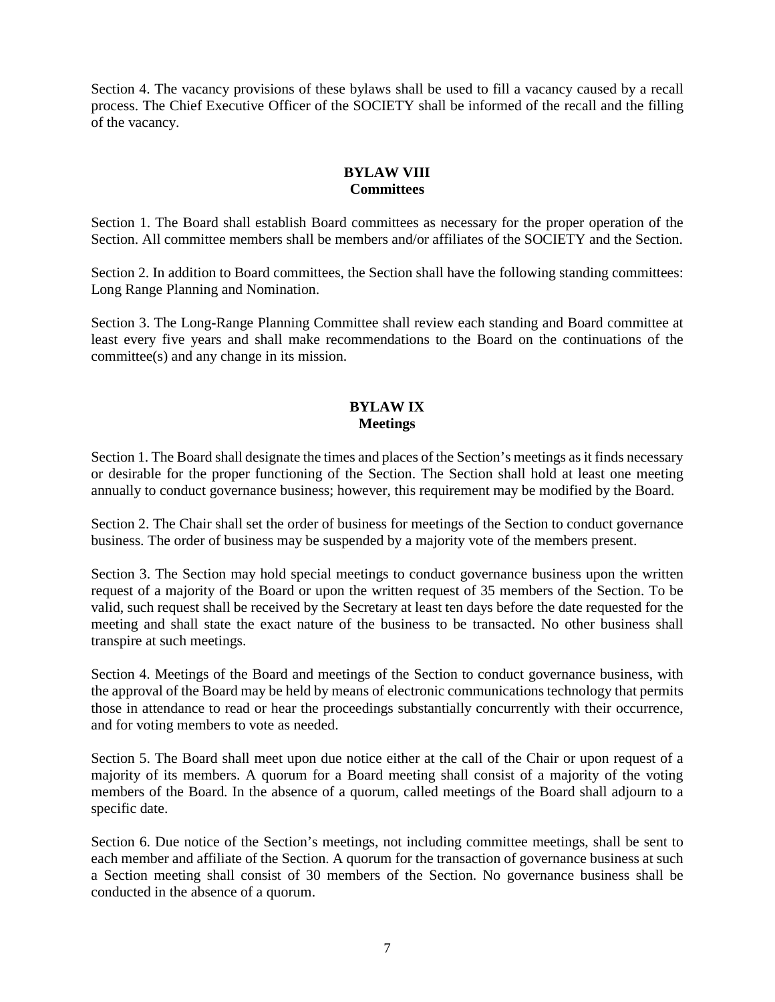Section 4. The vacancy provisions of these bylaws shall be used to fill a vacancy caused by a recall process. The Chief Executive Officer of the SOCIETY shall be informed of the recall and the filling of the vacancy.

# **BYLAW VIII Committees**

Section 1. The Board shall establish Board committees as necessary for the proper operation of the Section. All committee members shall be members and/or affiliates of the SOCIETY and the Section.

Section 2. In addition to Board committees, the Section shall have the following standing committees: Long Range Planning and Nomination.

Section 3. The Long-Range Planning Committee shall review each standing and Board committee at least every five years and shall make recommendations to the Board on the continuations of the committee(s) and any change in its mission.

## **BYLAW IX Meetings**

Section 1. The Board shall designate the times and places of the Section's meetings as it finds necessary or desirable for the proper functioning of the Section. The Section shall hold at least one meeting annually to conduct governance business; however, this requirement may be modified by the Board.

Section 2. The Chair shall set the order of business for meetings of the Section to conduct governance business. The order of business may be suspended by a majority vote of the members present.

Section 3. The Section may hold special meetings to conduct governance business upon the written request of a majority of the Board or upon the written request of 35 members of the Section. To be valid, such request shall be received by the Secretary at least ten days before the date requested for the meeting and shall state the exact nature of the business to be transacted. No other business shall transpire at such meetings.

Section 4. Meetings of the Board and meetings of the Section to conduct governance business, with the approval of the Board may be held by means of electronic communications technology that permits those in attendance to read or hear the proceedings substantially concurrently with their occurrence, and for voting members to vote as needed.

Section 5. The Board shall meet upon due notice either at the call of the Chair or upon request of a majority of its members. A quorum for a Board meeting shall consist of a majority of the voting members of the Board. In the absence of a quorum, called meetings of the Board shall adjourn to a specific date.

Section 6. Due notice of the Section's meetings, not including committee meetings, shall be sent to each member and affiliate of the Section. A quorum for the transaction of governance business at such a Section meeting shall consist of 30 members of the Section. No governance business shall be conducted in the absence of a quorum.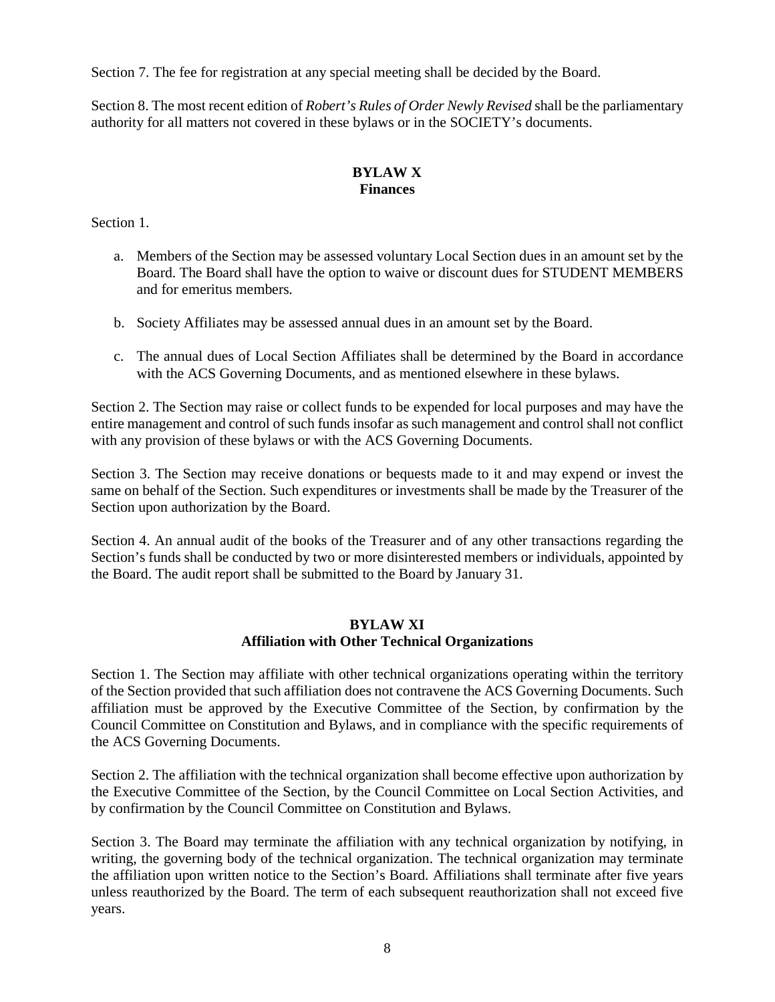Section 7. The fee for registration at any special meeting shall be decided by the Board.

Section 8. The most recent edition of *Robert's Rules of Order Newly Revised* shall be the parliamentary authority for all matters not covered in these bylaws or in the SOCIETY's documents.

# **BYLAW X Finances**

Section 1.

- a. Members of the Section may be assessed voluntary Local Section dues in an amount set by the Board. The Board shall have the option to waive or discount dues for STUDENT MEMBERS and for emeritus members.
- b. Society Affiliates may be assessed annual dues in an amount set by the Board.
- c. The annual dues of Local Section Affiliates shall be determined by the Board in accordance with the ACS Governing Documents, and as mentioned elsewhere in these bylaws.

Section 2. The Section may raise or collect funds to be expended for local purposes and may have the entire management and control of such funds insofar as such management and control shall not conflict with any provision of these bylaws or with the ACS Governing Documents.

Section 3. The Section may receive donations or bequests made to it and may expend or invest the same on behalf of the Section. Such expenditures or investments shall be made by the Treasurer of the Section upon authorization by the Board.

Section 4. An annual audit of the books of the Treasurer and of any other transactions regarding the Section's funds shall be conducted by two or more disinterested members or individuals, appointed by the Board. The audit report shall be submitted to the Board by January 31.

#### **BYLAW XI Affiliation with Other Technical Organizations**

Section 1. The Section may affiliate with other technical organizations operating within the territory of the Section provided that such affiliation does not contravene the ACS Governing Documents. Such affiliation must be approved by the Executive Committee of the Section, by confirmation by the Council Committee on Constitution and Bylaws, and in compliance with the specific requirements of the ACS Governing Documents.

Section 2. The affiliation with the technical organization shall become effective upon authorization by the Executive Committee of the Section, by the Council Committee on Local Section Activities, and by confirmation by the Council Committee on Constitution and Bylaws.

Section 3. The Board may terminate the affiliation with any technical organization by notifying, in writing, the governing body of the technical organization. The technical organization may terminate the affiliation upon written notice to the Section's Board. Affiliations shall terminate after five years unless reauthorized by the Board. The term of each subsequent reauthorization shall not exceed five years.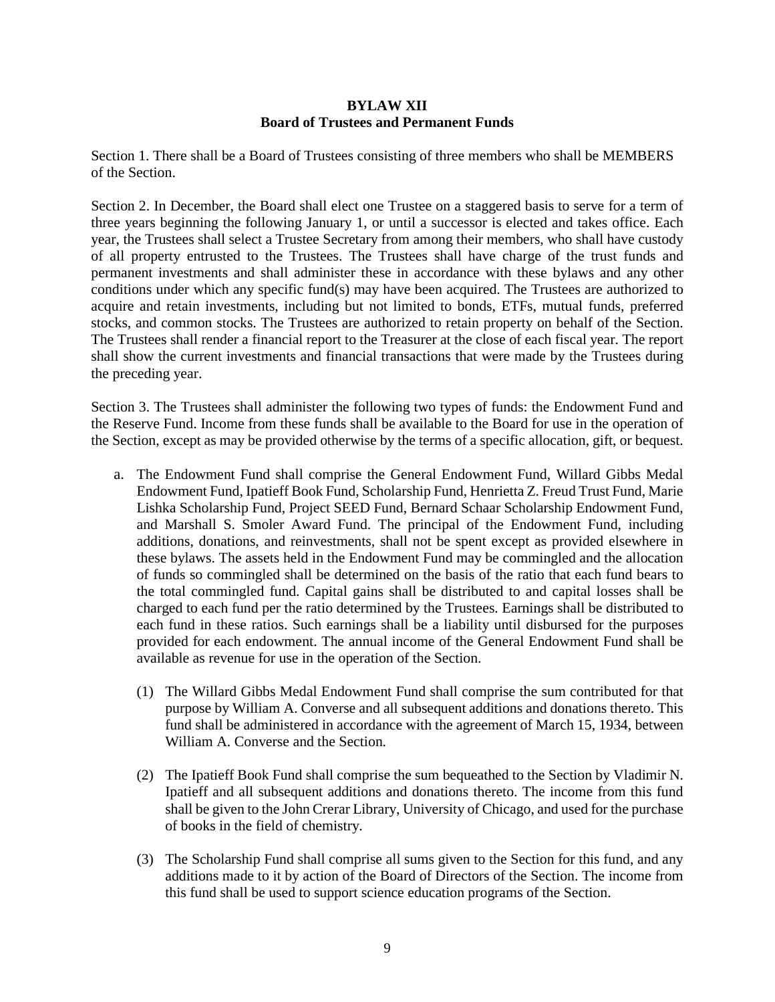## **BYLAW XII Board of Trustees and Permanent Funds**

Section 1. There shall be a Board of Trustees consisting of three members who shall be MEMBERS of the Section.

Section 2. In December, the Board shall elect one Trustee on a staggered basis to serve for a term of three years beginning the following January 1, or until a successor is elected and takes office. Each year, the Trustees shall select a Trustee Secretary from among their members, who shall have custody of all property entrusted to the Trustees. The Trustees shall have charge of the trust funds and permanent investments and shall administer these in accordance with these bylaws and any other conditions under which any specific fund(s) may have been acquired. The Trustees are authorized to acquire and retain investments, including but not limited to bonds, ETFs, mutual funds, preferred stocks, and common stocks. The Trustees are authorized to retain property on behalf of the Section. The Trustees shall render a financial report to the Treasurer at the close of each fiscal year. The report shall show the current investments and financial transactions that were made by the Trustees during the preceding year.

Section 3. The Trustees shall administer the following two types of funds: the Endowment Fund and the Reserve Fund. Income from these funds shall be available to the Board for use in the operation of the Section, except as may be provided otherwise by the terms of a specific allocation, gift, or bequest.

- a. The Endowment Fund shall comprise the General Endowment Fund, Willard Gibbs Medal Endowment Fund, Ipatieff Book Fund, Scholarship Fund, Henrietta Z. Freud Trust Fund, Marie Lishka Scholarship Fund, Project SEED Fund, Bernard Schaar Scholarship Endowment Fund, and Marshall S. Smoler Award Fund. The principal of the Endowment Fund, including additions, donations, and reinvestments, shall not be spent except as provided elsewhere in these bylaws. The assets held in the Endowment Fund may be commingled and the allocation of funds so commingled shall be determined on the basis of the ratio that each fund bears to the total commingled fund. Capital gains shall be distributed to and capital losses shall be charged to each fund per the ratio determined by the Trustees. Earnings shall be distributed to each fund in these ratios. Such earnings shall be a liability until disbursed for the purposes provided for each endowment. The annual income of the General Endowment Fund shall be available as revenue for use in the operation of the Section.
	- (1) The Willard Gibbs Medal Endowment Fund shall comprise the sum contributed for that purpose by William A. Converse and all subsequent additions and donations thereto. This fund shall be administered in accordance with the agreement of March 15, 1934, between William A. Converse and the Section.
	- (2) The Ipatieff Book Fund shall comprise the sum bequeathed to the Section by Vladimir N. Ipatieff and all subsequent additions and donations thereto. The income from this fund shall be given to the John Crerar Library, University of Chicago, and used for the purchase of books in the field of chemistry.
	- (3) The Scholarship Fund shall comprise all sums given to the Section for this fund, and any additions made to it by action of the Board of Directors of the Section. The income from this fund shall be used to support science education programs of the Section.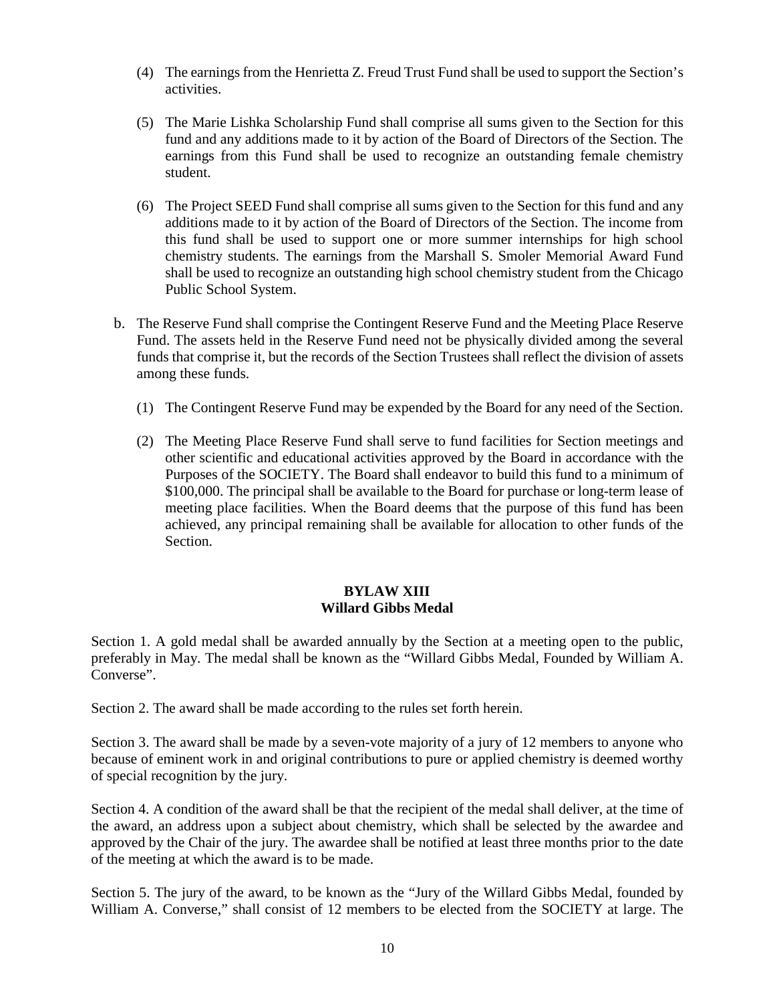- (4) The earnings from the Henrietta Z. Freud Trust Fund shall be used to support the Section's activities.
- (5) The Marie Lishka Scholarship Fund shall comprise all sums given to the Section for this fund and any additions made to it by action of the Board of Directors of the Section. The earnings from this Fund shall be used to recognize an outstanding female chemistry student.
- (6) The Project SEED Fund shall comprise all sums given to the Section for this fund and any additions made to it by action of the Board of Directors of the Section. The income from this fund shall be used to support one or more summer internships for high school chemistry students. The earnings from the Marshall S. Smoler Memorial Award Fund shall be used to recognize an outstanding high school chemistry student from the Chicago Public School System.
- b. The Reserve Fund shall comprise the Contingent Reserve Fund and the Meeting Place Reserve Fund. The assets held in the Reserve Fund need not be physically divided among the several funds that comprise it, but the records of the Section Trustees shall reflect the division of assets among these funds.
	- (1) The Contingent Reserve Fund may be expended by the Board for any need of the Section.
	- (2) The Meeting Place Reserve Fund shall serve to fund facilities for Section meetings and other scientific and educational activities approved by the Board in accordance with the Purposes of the SOCIETY. The Board shall endeavor to build this fund to a minimum of \$100,000. The principal shall be available to the Board for purchase or long-term lease of meeting place facilities. When the Board deems that the purpose of this fund has been achieved, any principal remaining shall be available for allocation to other funds of the Section.

#### **BYLAW XIII Willard Gibbs Medal**

Section 1. A gold medal shall be awarded annually by the Section at a meeting open to the public, preferably in May. The medal shall be known as the "Willard Gibbs Medal, Founded by William A. Converse".

Section 2. The award shall be made according to the rules set forth herein.

Section 3. The award shall be made by a seven-vote majority of a jury of 12 members to anyone who because of eminent work in and original contributions to pure or applied chemistry is deemed worthy of special recognition by the jury.

Section 4. A condition of the award shall be that the recipient of the medal shall deliver, at the time of the award, an address upon a subject about chemistry, which shall be selected by the awardee and approved by the Chair of the jury. The awardee shall be notified at least three months prior to the date of the meeting at which the award is to be made.

Section 5. The jury of the award, to be known as the "Jury of the Willard Gibbs Medal, founded by William A. Converse," shall consist of 12 members to be elected from the SOCIETY at large. The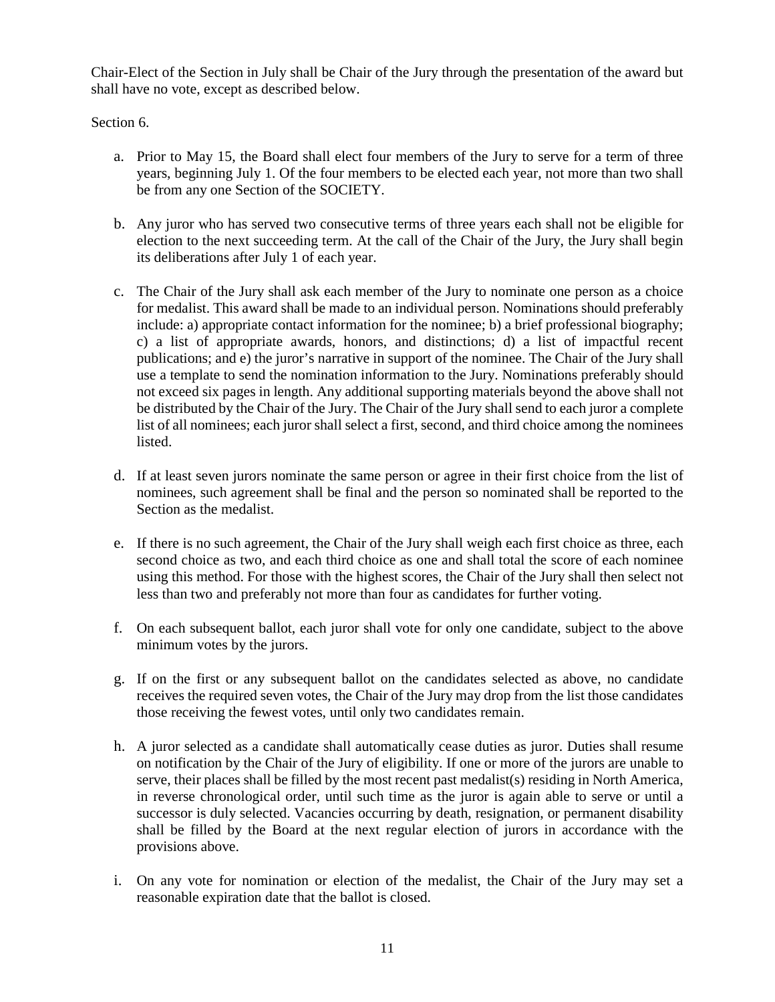Chair-Elect of the Section in July shall be Chair of the Jury through the presentation of the award but shall have no vote, except as described below.

Section 6.

- a. Prior to May 15, the Board shall elect four members of the Jury to serve for a term of three years, beginning July 1. Of the four members to be elected each year, not more than two shall be from any one Section of the SOCIETY.
- b. Any juror who has served two consecutive terms of three years each shall not be eligible for election to the next succeeding term. At the call of the Chair of the Jury, the Jury shall begin its deliberations after July 1 of each year.
- c. The Chair of the Jury shall ask each member of the Jury to nominate one person as a choice for medalist. This award shall be made to an individual person. Nominations should preferably include: a) appropriate contact information for the nominee; b) a brief professional biography; c) a list of appropriate awards, honors, and distinctions; d) a list of impactful recent publications; and e) the juror's narrative in support of the nominee. The Chair of the Jury shall use a template to send the nomination information to the Jury. Nominations preferably should not exceed six pages in length. Any additional supporting materials beyond the above shall not be distributed by the Chair of the Jury. The Chair of the Jury shall send to each juror a complete list of all nominees; each juror shall select a first, second, and third choice among the nominees listed.
- d. If at least seven jurors nominate the same person or agree in their first choice from the list of nominees, such agreement shall be final and the person so nominated shall be reported to the Section as the medalist.
- e. If there is no such agreement, the Chair of the Jury shall weigh each first choice as three, each second choice as two, and each third choice as one and shall total the score of each nominee using this method. For those with the highest scores, the Chair of the Jury shall then select not less than two and preferably not more than four as candidates for further voting.
- f. On each subsequent ballot, each juror shall vote for only one candidate, subject to the above minimum votes by the jurors.
- g. If on the first or any subsequent ballot on the candidates selected as above, no candidate receives the required seven votes, the Chair of the Jury may drop from the list those candidates those receiving the fewest votes, until only two candidates remain.
- h. A juror selected as a candidate shall automatically cease duties as juror. Duties shall resume on notification by the Chair of the Jury of eligibility. If one or more of the jurors are unable to serve, their places shall be filled by the most recent past medalist(s) residing in North America, in reverse chronological order, until such time as the juror is again able to serve or until a successor is duly selected. Vacancies occurring by death, resignation, or permanent disability shall be filled by the Board at the next regular election of jurors in accordance with the provisions above.
- i. On any vote for nomination or election of the medalist, the Chair of the Jury may set a reasonable expiration date that the ballot is closed.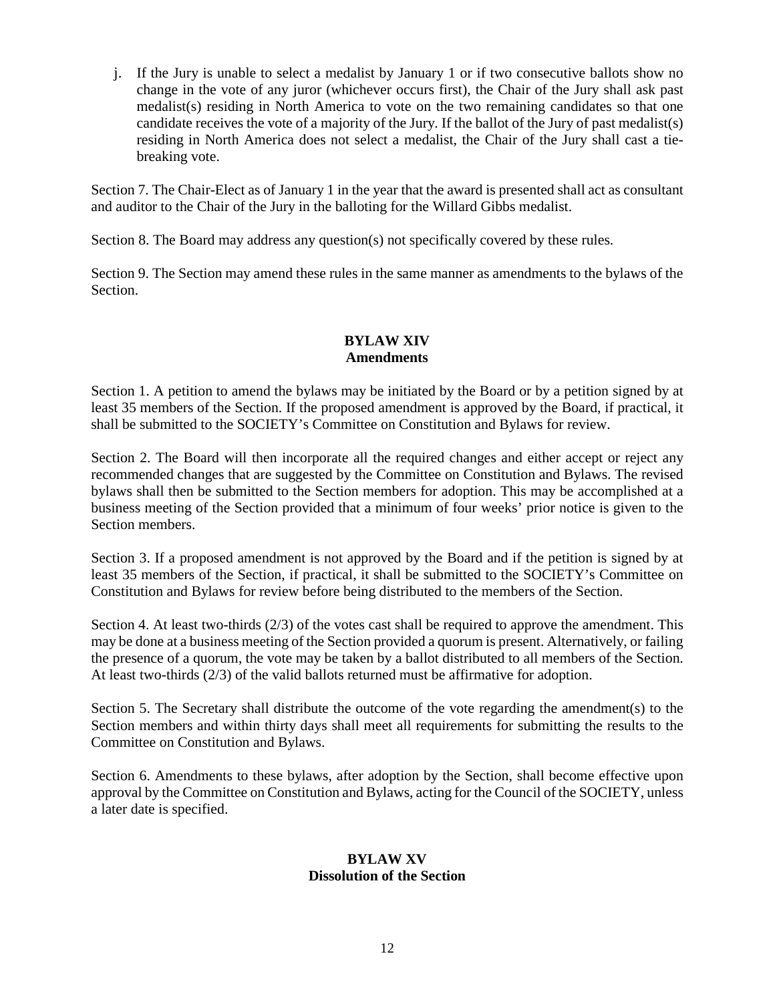j. If the Jury is unable to select a medalist by January 1 or if two consecutive ballots show no change in the vote of any juror (whichever occurs first), the Chair of the Jury shall ask past medalist(s) residing in North America to vote on the two remaining candidates so that one candidate receives the vote of a majority of the Jury. If the ballot of the Jury of past medalist(s) residing in North America does not select a medalist, the Chair of the Jury shall cast a tiebreaking vote.

Section 7. The Chair-Elect as of January 1 in the year that the award is presented shall act as consultant and auditor to the Chair of the Jury in the balloting for the Willard Gibbs medalist.

Section 8. The Board may address any question(s) not specifically covered by these rules.

Section 9. The Section may amend these rules in the same manner as amendments to the bylaws of the Section.

## **BYLAW XIV Amendments**

Section 1. A petition to amend the bylaws may be initiated by the Board or by a petition signed by at least 35 members of the Section. If the proposed amendment is approved by the Board, if practical, it shall be submitted to the SOCIETY's Committee on Constitution and Bylaws for review.

Section 2. The Board will then incorporate all the required changes and either accept or reject any recommended changes that are suggested by the Committee on Constitution and Bylaws. The revised bylaws shall then be submitted to the Section members for adoption. This may be accomplished at a business meeting of the Section provided that a minimum of four weeks' prior notice is given to the Section members.

Section 3. If a proposed amendment is not approved by the Board and if the petition is signed by at least 35 members of the Section, if practical, it shall be submitted to the SOCIETY's Committee on Constitution and Bylaws for review before being distributed to the members of the Section.

Section 4. At least two-thirds (2/3) of the votes cast shall be required to approve the amendment. This may be done at a business meeting of the Section provided a quorum is present. Alternatively, or failing the presence of a quorum, the vote may be taken by a ballot distributed to all members of the Section. At least two-thirds (2/3) of the valid ballots returned must be affirmative for adoption.

Section 5. The Secretary shall distribute the outcome of the vote regarding the amendment(s) to the Section members and within thirty days shall meet all requirements for submitting the results to the Committee on Constitution and Bylaws.

Section 6. Amendments to these bylaws, after adoption by the Section, shall become effective upon approval by the Committee on Constitution and Bylaws, acting for the Council of the SOCIETY, unless a later date is specified.

#### **BYLAW XV Dissolution of the Section**